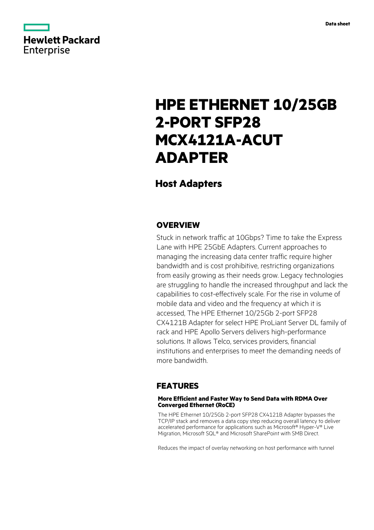

# **HPE ETHERNET 10/25GB 2-PORT SFP28 MCX4121A-ACUT ADAPTER**

# **Host Adapters**

### **OVERVIEW**

Stuck in network traffic at 10Gbps? Time to take the Express Lane with HPE 25GbE Adapters. Current approaches to managing the increasing data center traffic require higher bandwidth and is cost prohibitive, restricting organizations from easily growing as their needs grow. Legacy technologies are struggling to handle the increased throughput and lack the capabilities to cost-effectively scale. For the rise in volume of mobile data and video and the frequency at which it is accessed, The HPE Ethernet 10/25Gb 2-port SFP28 CX4121B Adapter for select HPE ProLiant Server DL family of rack and HPE Apollo Servers delivers high-performance solutions. It allows Telco, services providers, financial institutions and enterprises to meet the demanding needs of more bandwidth.

### **FEATURES**

### **More Efficient and Faster Way to Send Data with RDMA Over Converged Ethernet (RoCE)**

The HPE Ethernet 10/25Gb 2-port SFP28 CX4121B Adapter bypasses the TCP/IP stack and removes a data copy step reducing overall latency to deliver accelerated performance for applications such as Microsoft® Hyper-V® Live Migration, Microsoft SQL® and Microsoft SharePoint with SMB Direct.

Reduces the impact of overlay networking on host performance with tunnel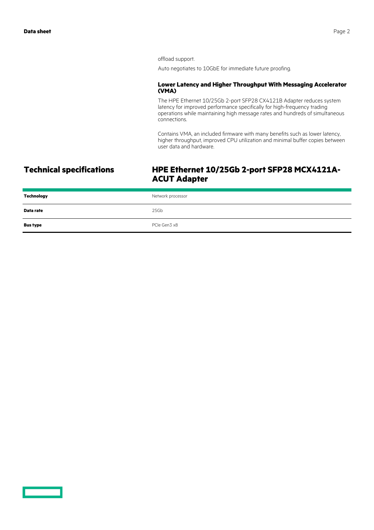offload support.

Auto negotiates to 10GbE for immediate future proofing.

### **Lower Latency and Higher Throughput With Messaging Accelerator (VMA)**

The HPE Ethernet 10/25Gb 2-port SFP28 CX4121B Adapter reduces system latency for improved performance specifically for high-frequency trading operations while maintaining high message rates and hundreds of simultaneous connections.

Contains VMA, an included firmware with many benefits such as lower latency, higher throughput, improved CPU utilization and minimal buffer copies between user data and hardware.

# **Technical specifications HPE Ethernet 10/25Gb 2-port SFP28 MCX4121A-ACUT Adapter**

| Technology      | Network processor |
|-----------------|-------------------|
| Data rate       | 25Gb              |
| <b>Bus type</b> | PCIe Gen3 x8      |